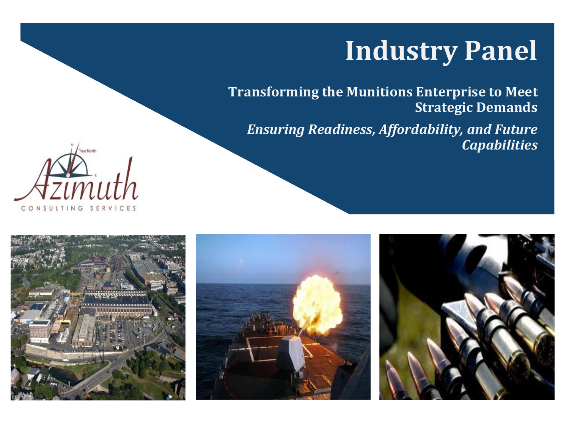# **Industry Panel**

**Transforming the Munitions Enterprise to Meet Strategic Demands** 

*Ensuring Readiness, Affordability, and Future Capabilities* 







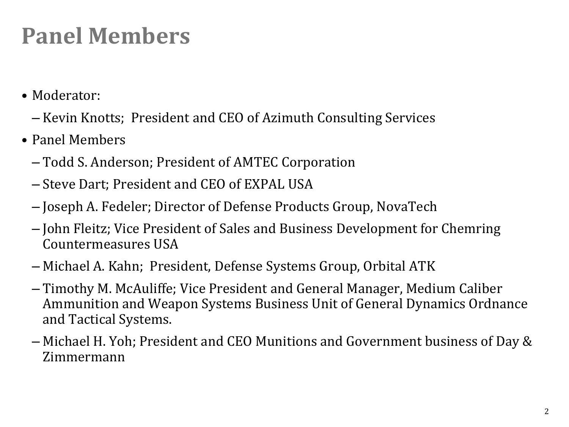### **Panel Members**

- Moderator:
	- Kevin Knotts; President and CEO of Azimuth Consulting Services
- Panel Members
	- Todd S. Anderson; President of AMTEC Corporation
	- Steve Dart; President and CEO of EXPAL USA
	- Joseph A. Fedeler; Director of Defense Products Group, NovaTech
	- John Fleitz; Vice President of Sales and Business Development for Chemring Countermeasures USA
	- Michael A. Kahn; President, Defense Systems Group, Orbital ATK
	- Timothy M. McAuliffe; Vice President and General Manager, Medium Caliber Ammunition and Weapon Systems Business Unit of General Dynamics Ordnance and Tactical Systems.
	- Michael H. Yoh; President and CEO Munitions and Government business of Day & Zimmermann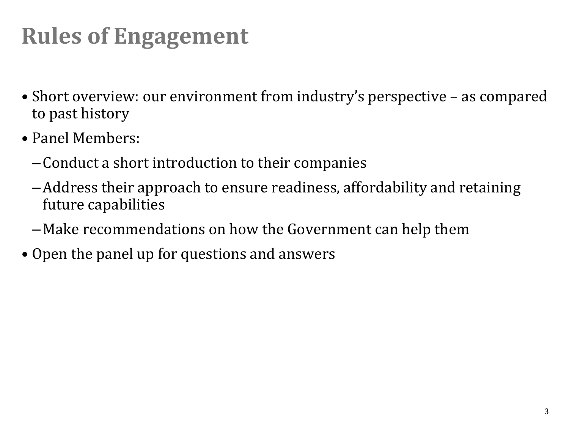## **Rules of Engagement**

- Short overview: our environment from industry's perspective as compared to past history
- Panel Members:
	- –Conduct a short introduction to their companies
	- –Address their approach to ensure readiness, affordability and retaining future capabilities
	- –Make recommendations on how the Government can help them
- Open the panel up for questions and answers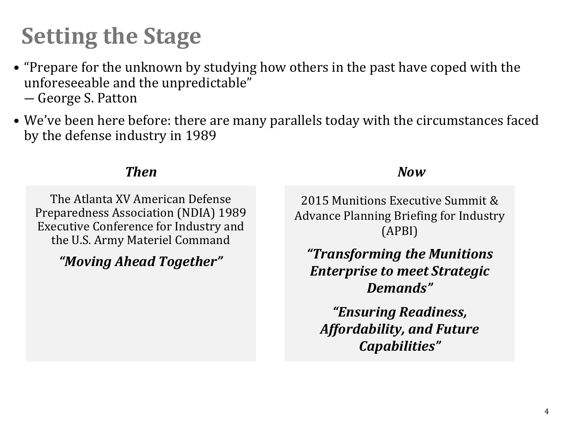### **Setting the Stage**

- "Prepare for the unknown by studying how others in the past have coped with the unforeseeable and the unpredictable" ― George S. Patton
- We've been here before: there are many parallels today with the circumstances faced by the defense industry in 1989

### *Then Now*

The Atlanta XV American Defense Preparedness Association (NDIA) 1989 Executive Conference for Industry and the U.S. Army Materiel Command

*"Moving Ahead Together"*

2015 Munitions Executive Summit & Advance Planning Briefing for Industry (APBI)

*"Transforming the Munitions Enterprise to meet Strategic Demands"* 

*"Ensuring Readiness, Affordability, and Future Capabilities"*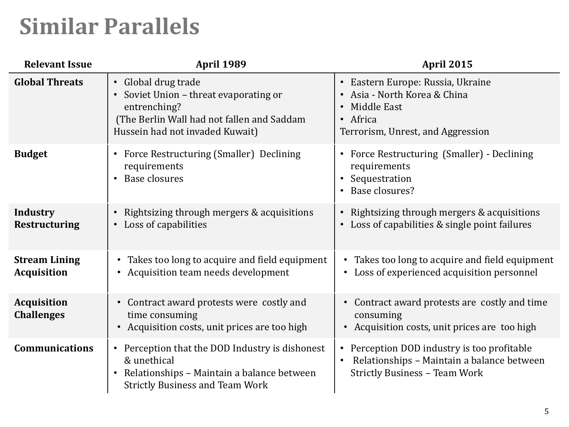### **Similar Parallels**

| <b>Relevant Issue</b>                      | <b>April 1989</b>                                                                                                                                                   | <b>April 2015</b>                                                                                                                                         |
|--------------------------------------------|---------------------------------------------------------------------------------------------------------------------------------------------------------------------|-----------------------------------------------------------------------------------------------------------------------------------------------------------|
| <b>Global Threats</b>                      | • Global drug trade<br>• Soviet Union - threat evaporating or<br>entrenching?<br>(The Berlin Wall had not fallen and Saddam<br>Hussein had not invaded Kuwait)      | • Eastern Europe: Russia, Ukraine<br>Asia - North Korea & China<br>Middle East<br>$\bullet$<br>• Africa<br>Terrorism, Unrest, and Aggression              |
| <b>Budget</b>                              | Force Restructuring (Smaller) Declining<br>$\bullet$<br>requirements<br>Base closures                                                                               | Force Restructuring (Smaller) - Declining<br>$\bullet$<br>requirements<br>• Sequestration<br>Base closures?                                               |
| <b>Industry</b><br><b>Restructuring</b>    | Rightsizing through mergers & acquisitions<br>$\bullet$<br>Loss of capabilities<br>$\bullet$                                                                        | Rightsizing through mergers & acquisitions<br>$\bullet$<br>Loss of capabilities & single point failures                                                   |
| <b>Stream Lining</b><br><b>Acquisition</b> | • Takes too long to acquire and field equipment<br>• Acquisition team needs development                                                                             | Takes too long to acquire and field equipment<br>Loss of experienced acquisition personnel                                                                |
| <b>Acquisition</b><br><b>Challenges</b>    | • Contract award protests were costly and<br>time consuming<br>• Acquisition costs, unit prices are too high                                                        | • Contract award protests are costly and time<br>consuming<br>Acquisition costs, unit prices are too high                                                 |
| <b>Communications</b>                      | • Perception that the DOD Industry is dishonest<br>& unethical<br>Relationships - Maintain a balance between<br>$\bullet$<br><b>Strictly Business and Team Work</b> | Perception DOD industry is too profitable<br>$\bullet$<br>Relationships - Maintain a balance between<br>$\bullet$<br><b>Strictly Business - Team Work</b> |